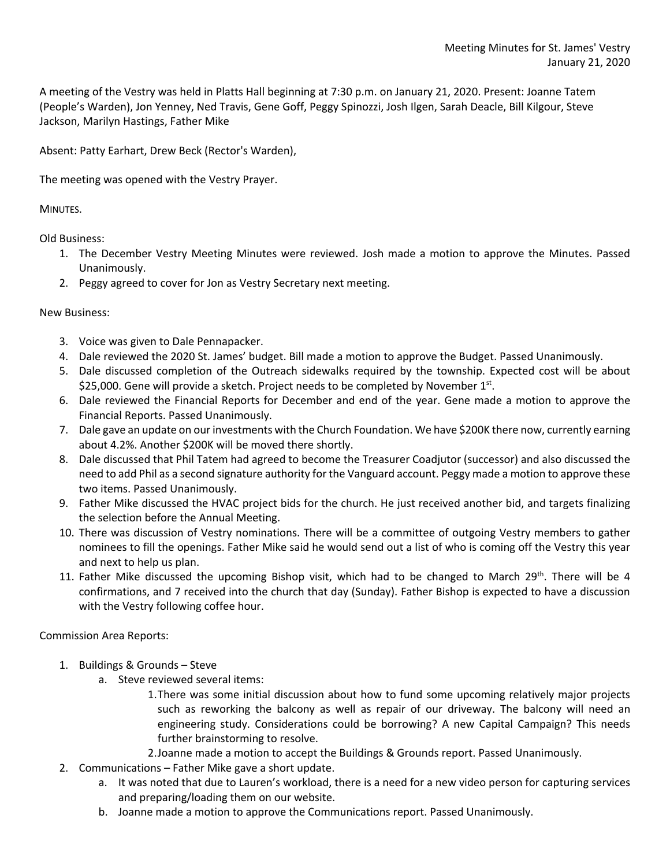A meeting of the Vestry was held in Platts Hall beginning at 7:30 p.m. on January 21, 2020. Present: Joanne Tatem (People's Warden), Jon Yenney, Ned Travis, Gene Goff, Peggy Spinozzi, Josh Ilgen, Sarah Deacle, Bill Kilgour, Steve Jackson, Marilyn Hastings, Father Mike

Absent: Patty Earhart, Drew Beck (Rector's Warden),

The meeting was opened with the Vestry Prayer.

MINUTES.

Old Business:

- 1. The December Vestry Meeting Minutes were reviewed. Josh made a motion to approve the Minutes. Passed Unanimously.
- 2. Peggy agreed to cover for Jon as Vestry Secretary next meeting.

New Business:

- 3. Voice was given to Dale Pennapacker.
- 4. Dale reviewed the 2020 St. James' budget. Bill made a motion to approve the Budget. Passed Unanimously.
- 5. Dale discussed completion of the Outreach sidewalks required by the township. Expected cost will be about \$25,000. Gene will provide a sketch. Project needs to be completed by November  $1<sup>st</sup>$ .
- 6. Dale reviewed the Financial Reports for December and end of the year. Gene made a motion to approve the Financial Reports. Passed Unanimously.
- 7. Dale gave an update on our investments with the Church Foundation. We have \$200K there now, currently earning about 4.2%. Another \$200K will be moved there shortly.
- 8. Dale discussed that Phil Tatem had agreed to become the Treasurer Coadjutor (successor) and also discussed the need to add Phil as a second signature authority for the Vanguard account. Peggy made a motion to approve these two items. Passed Unanimously.
- 9. Father Mike discussed the HVAC project bids for the church. He just received another bid, and targets finalizing the selection before the Annual Meeting.
- 10. There was discussion of Vestry nominations. There will be a committee of outgoing Vestry members to gather nominees to fill the openings. Father Mike said he would send out a list of who is coming off the Vestry this year and next to help us plan.
- 11. Father Mike discussed the upcoming Bishop visit, which had to be changed to March 29<sup>th</sup>. There will be 4 confirmations, and 7 received into the church that day (Sunday). Father Bishop is expected to have a discussion with the Vestry following coffee hour.

Commission Area Reports:

- 1. Buildings & Grounds Steve
	- a. Steve reviewed several items:
		- 1.There was some initial discussion about how to fund some upcoming relatively major projects such as reworking the balcony as well as repair of our driveway. The balcony will need an engineering study. Considerations could be borrowing? A new Capital Campaign? This needs further brainstorming to resolve.
		- 2.Joanne made a motion to accept the Buildings & Grounds report. Passed Unanimously.
- 2. Communications Father Mike gave a short update.
	- a. It was noted that due to Lauren's workload, there is a need for a new video person for capturing services and preparing/loading them on our website.
	- b. Joanne made a motion to approve the Communications report. Passed Unanimously.